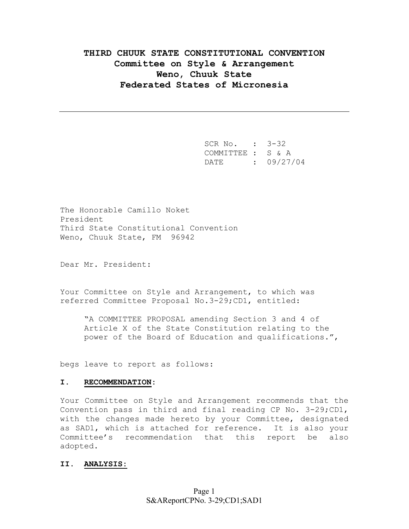# **THIRD CHUUK STATE CONSTITUTIONAL CONVENTION Committee on Style & Arrangement Weno, Chuuk State Federated States of Micronesia**

 SCR No. : 3-32 COMMITTEE : S & A DATE : 09/27/04

The Honorable Camillo Noket President Third State Constitutional Convention Weno, Chuuk State, FM 96942

Dear Mr. President:

Your Committee on Style and Arrangement, to which was referred Committee Proposal No.3-29;CD1, entitled:

"A COMMITTEE PROPOSAL amending Section 3 and 4 of Article X of the State Constitution relating to the power of the Board of Education and qualifications.",

begs leave to report as follows:

## **I. RECOMMENDATION:**

Your Committee on Style and Arrangement recommends that the Convention pass in third and final reading CP No. 3-29;CD1, with the changes made hereto by your Committee, designated as SAD1, which is attached for reference. It is also your Committee's recommendation that this report be also adopted.

## **II. ANALYSIS:**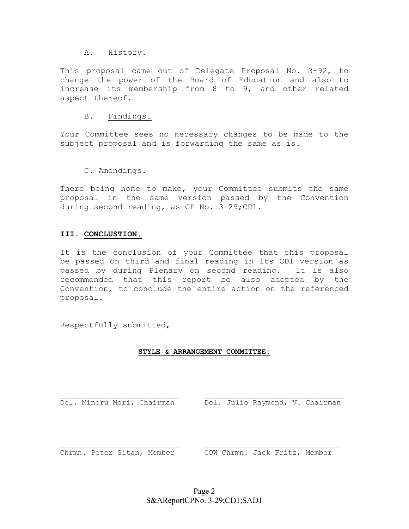## A. History.

This proposal came out of Delegate Proposal No. 3-92, to change the power of the Board of Education and also to increase its membership from 8 to 9, and other related aspect thereof.

## B. Findings.

Your Committee sees no necessary changes to be made to the subject proposal and is forwarding the same as is.

# C. Amendings.

There being none to make, your Committee submits the same proposal in the same version passed by the Convention during second reading, as CP No. 3-29;CD1.

# **III. CONCLUSTION.**

It is the conclusion of your Committee that this proposal be passed on third and final reading in its CD1 version as passed by during Plenary on second reading. It is also recommended that this report be also adopted by the Convention, to conclude the entire action on the referenced proposal.

Respectfully submitted,

## **STYLE & ARRANGEMENT COMMITTEE:**

Del. Minoru Mori, Chairman Del. Julio Raymond, V. Chairman

Chrmn. Peter Sitan, Member COW Chrmn. Jack Fritz, Member

 $\_$  , and the set of the set of the set of the set of the set of the set of the set of the set of the set of the set of the set of the set of the set of the set of the set of the set of the set of the set of the set of th